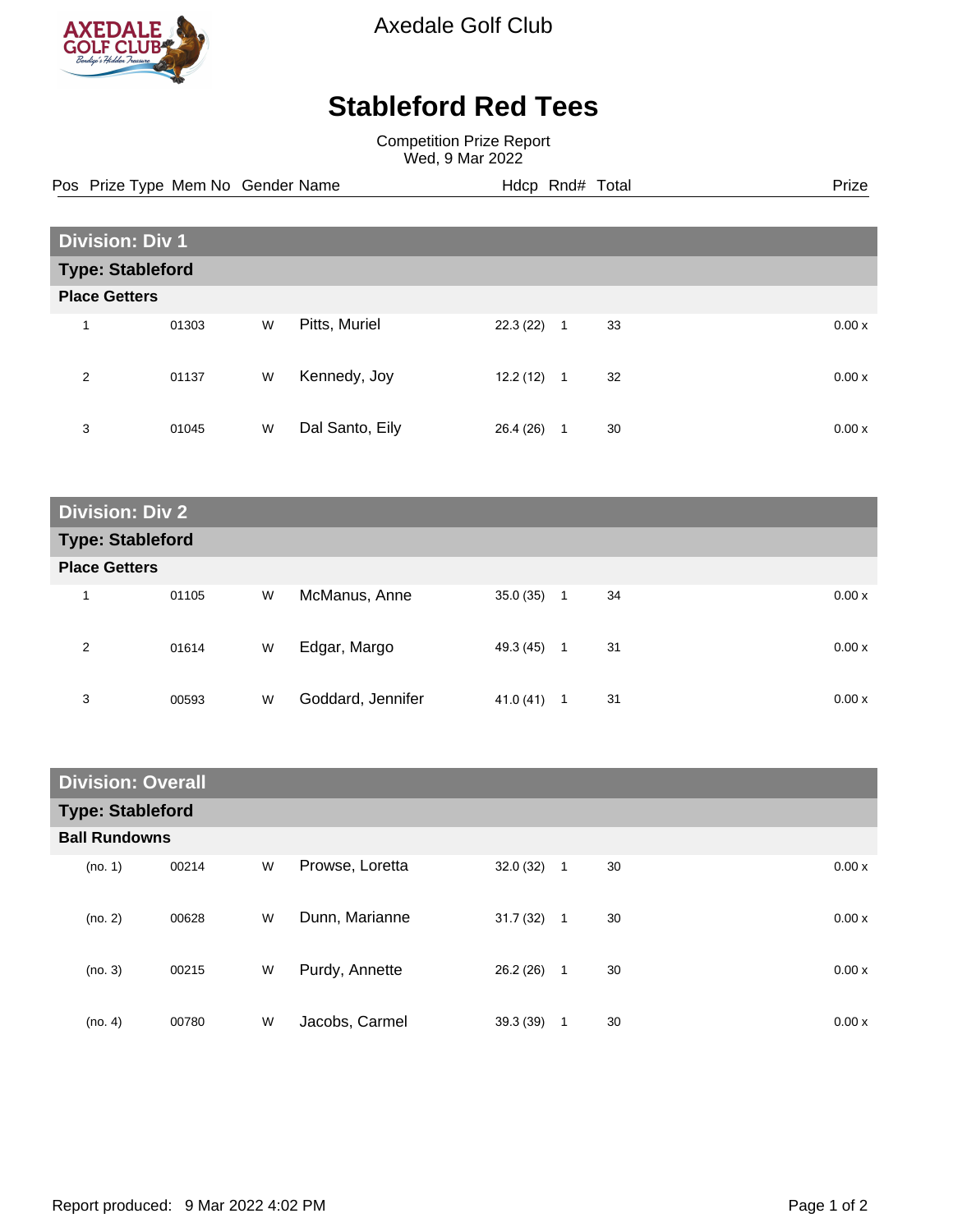

Axedale Golf Club

## **Stableford Red Tees**

Competition Prize Report Wed, 9 Mar 2022

Pos Prize Type Mem No Gender Name **Hdcp Rnd# Total** Prize Prize

| <b>Division: Div 1</b>  |       |   |                 |           |                |    |        |
|-------------------------|-------|---|-----------------|-----------|----------------|----|--------|
| <b>Type: Stableford</b> |       |   |                 |           |                |    |        |
| <b>Place Getters</b>    |       |   |                 |           |                |    |        |
| 4                       | 01303 | W | Pitts, Muriel   | 22.3(22)  | $\overline{1}$ | 33 | 0.00x  |
| 2                       | 01137 | W | Kennedy, Joy    | 12.2 (12) | $\mathbf{1}$   | 32 | 0.00 x |
| 3                       | 01045 | W | Dal Santo, Eily | 26.4 (26) | 1              | 30 | 0.00 x |

**Division: Div 2 Type: Stableford Place Getters** 1 01105 W McManus, Anne 35.0 (35) 1 34 0.00 x 2 01614 W Edgar, Margo 49.3 (45) 1 31 0.00 x 3 00593 W Goddard, Jennifer 41.0 (41) 1 31 0.00 x

| <b>Division: Overall</b> |       |   |                 |          |              |    |  |        |
|--------------------------|-------|---|-----------------|----------|--------------|----|--|--------|
| <b>Type: Stableford</b>  |       |   |                 |          |              |    |  |        |
| <b>Ball Rundowns</b>     |       |   |                 |          |              |    |  |        |
| (no. 1)                  | 00214 | W | Prowse, Loretta | 32.0(32) | $\mathbf{1}$ | 30 |  | 0.00x  |
| (no. 2)                  | 00628 | W | Dunn, Marianne  | 31.7(32) | $\mathbf{1}$ | 30 |  | 0.00x  |
| (no. 3)                  | 00215 | W | Purdy, Annette  | 26.2(26) | $\mathbf{1}$ | 30 |  | 0.00 x |
| (no. 4)                  | 00780 | W | Jacobs, Carmel  | 39.3(39) | 1            | 30 |  | 0.00 x |